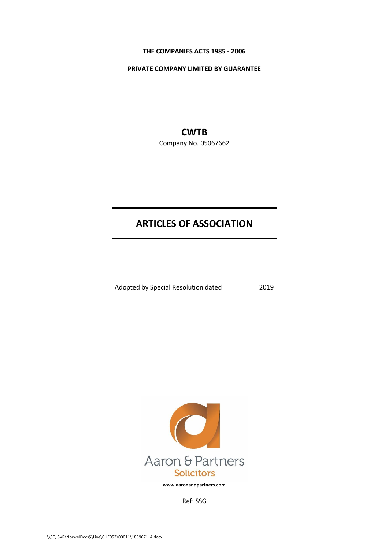#### **THE COMPANIES ACTS 1985 - 2006**

**PRIVATE COMPANY LIMITED BY GUARANTEE**

# **CWTB**

Company No. 05067662

# **ARTICLES OF ASSOCIATION**

Adopted by Special Resolution dated 2019



**www.aaronandpartners.com**

Ref: SSG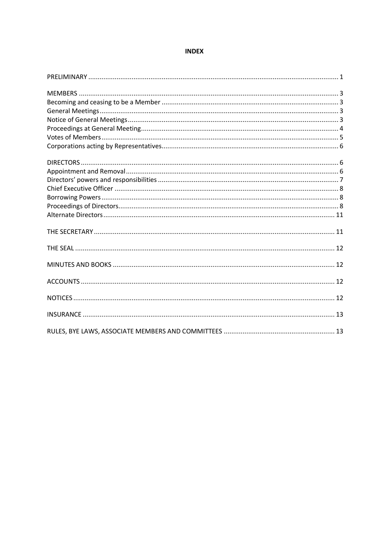## **INDEX**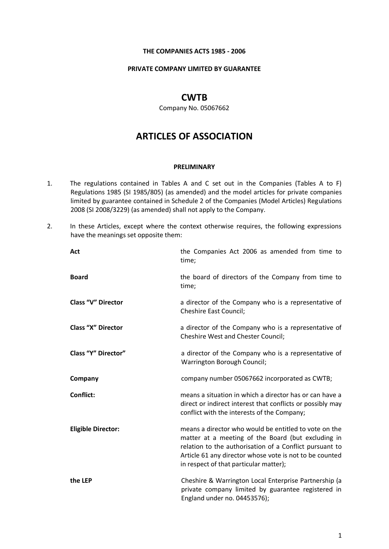#### **THE COMPANIES ACTS 1985 - 2006**

#### **PRIVATE COMPANY LIMITED BY GUARANTEE**

# **CWTB**

Company No. 05067662

# **ARTICLES OF ASSOCIATION**

#### **PRELIMINARY**

- 1. The regulations contained in Tables A and C set out in the Companies (Tables A to F) Regulations 1985 (SI 1985/805) (as amended) and the model articles for private companies limited by guarantee contained in Schedule 2 of the Companies (Model Articles) Regulations 2008 (SI 2008/3229) (as amended) shall not apply to the Company.
- 2. In these Articles, except where the context otherwise requires, the following expressions have the meanings set opposite them:

| Act                        | the Companies Act 2006 as amended from time to<br>time;                                                                                                                                                                                                                     |
|----------------------------|-----------------------------------------------------------------------------------------------------------------------------------------------------------------------------------------------------------------------------------------------------------------------------|
| <b>Board</b>               | the board of directors of the Company from time to<br>time;                                                                                                                                                                                                                 |
| <b>Class "V" Director</b>  | a director of the Company who is a representative of<br><b>Cheshire East Council;</b>                                                                                                                                                                                       |
| <b>Class "X" Director</b>  | a director of the Company who is a representative of<br><b>Cheshire West and Chester Council;</b>                                                                                                                                                                           |
| <b>Class "Y" Director"</b> | a director of the Company who is a representative of<br>Warrington Borough Council;                                                                                                                                                                                         |
| Company                    | company number 05067662 incorporated as CWTB;                                                                                                                                                                                                                               |
| Conflict:                  | means a situation in which a director has or can have a<br>direct or indirect interest that conflicts or possibly may<br>conflict with the interests of the Company;                                                                                                        |
| <b>Eligible Director:</b>  | means a director who would be entitled to vote on the<br>matter at a meeting of the Board (but excluding in<br>relation to the authorisation of a Conflict pursuant to<br>Article 61 any director whose vote is not to be counted<br>in respect of that particular matter); |
| the LEP                    | Cheshire & Warrington Local Enterprise Partnership (a<br>private company limited by guarantee registered in<br>England under no. 04453576);                                                                                                                                 |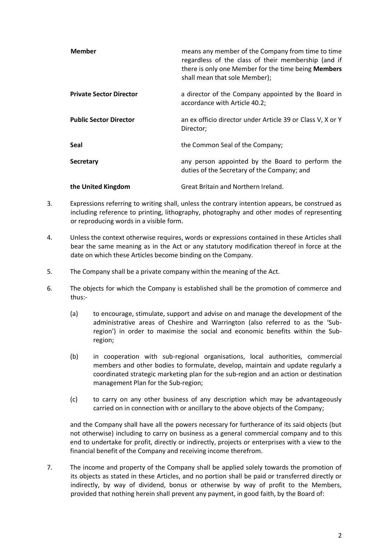| <b>Member</b>                  | means any member of the Company from time to time<br>regardless of the class of their membership (and if<br>there is only one Member for the time being Members<br>shall mean that sole Member); |
|--------------------------------|--------------------------------------------------------------------------------------------------------------------------------------------------------------------------------------------------|
| <b>Private Sector Director</b> | a director of the Company appointed by the Board in<br>accordance with Article 40.2;                                                                                                             |
| <b>Public Sector Director</b>  | an ex officio director under Article 39 or Class V, X or Y<br>Director;                                                                                                                          |
| Seal                           | the Common Seal of the Company;                                                                                                                                                                  |
| Secretary                      | any person appointed by the Board to perform the<br>duties of the Secretary of the Company; and                                                                                                  |
| the United Kingdom             | Great Britain and Northern Ireland.                                                                                                                                                              |

- 3. Expressions referring to writing shall, unless the contrary intention appears, be construed as including reference to printing, lithography, photography and other modes of representing or reproducing words in a visible form.
- 4. Unless the context otherwise requires, words or expressions contained in these Articles shall bear the same meaning as in the Act or any statutory modification thereof in force at the date on which these Articles become binding on the Company.
- 5. The Company shall be a private company within the meaning of the Act.
- 6. The objects for which the Company is established shall be the promotion of commerce and thus:-
	- (a) to encourage, stimulate, support and advise on and manage the development of the administrative areas of Cheshire and Warrington (also referred to as the 'Subregion') in order to maximise the social and economic benefits within the Subregion;
	- (b) in cooperation with sub-regional organisations, local authorities, commercial members and other bodies to formulate, develop, maintain and update regularly a coordinated strategic marketing plan for the sub-region and an action or destination management Plan for the Sub-region;
	- (c) to carry on any other business of any description which may be advantageously carried on in connection with or ancillary to the above objects of the Company;

and the Company shall have all the powers necessary for furtherance of its said objects (but not otherwise) including to carry on business as a general commercial company and to this end to undertake for profit, directly or indirectly, projects or enterprises with a view to the financial benefit of the Company and receiving income therefrom.

7. The income and property of the Company shall be applied solely towards the promotion of its objects as stated in these Articles, and no portion shall be paid or transferred directly or indirectly, by way of dividend, bonus or otherwise by way of profit to the Members, provided that nothing herein shall prevent any payment, in good faith, by the Board of: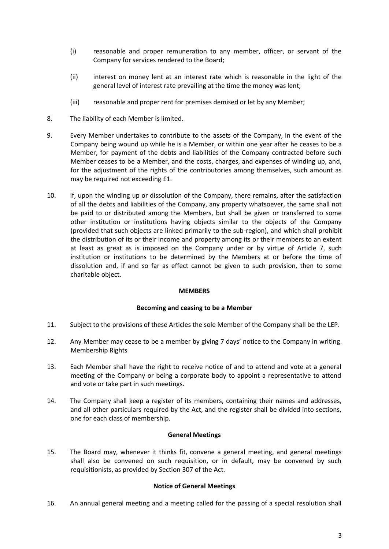- (i) reasonable and proper remuneration to any member, officer, or servant of the Company for services rendered to the Board;
- (ii) interest on money lent at an interest rate which is reasonable in the light of the general level of interest rate prevailing at the time the money was lent;
- (iii) reasonable and proper rent for premises demised or let by any Member;
- 8. The liability of each Member is limited.
- 9. Every Member undertakes to contribute to the assets of the Company, in the event of the Company being wound up while he is a Member, or within one year after he ceases to be a Member, for payment of the debts and liabilities of the Company contracted before such Member ceases to be a Member, and the costs, charges, and expenses of winding up, and, for the adjustment of the rights of the contributories among themselves, such amount as may be required not exceeding £1.
- 10. If, upon the winding up or dissolution of the Company, there remains, after the satisfaction of all the debts and liabilities of the Company, any property whatsoever, the same shall not be paid to or distributed among the Members, but shall be given or transferred to some other institution or institutions having objects similar to the objects of the Company (provided that such objects are linked primarily to the sub-region), and which shall prohibit the distribution of its or their income and property among its or their members to an extent at least as great as is imposed on the Company under or by virtue of Article 7, such institution or institutions to be determined by the Members at or before the time of dissolution and, if and so far as effect cannot be given to such provision, then to some charitable object.

#### **MEMBERS**

#### **Becoming and ceasing to be a Member**

- 11. Subject to the provisions of these Articles the sole Member of the Company shall be the LEP.
- 12. Any Member may cease to be a member by giving 7 days' notice to the Company in writing. Membership Rights
- 13. Each Member shall have the right to receive notice of and to attend and vote at a general meeting of the Company or being a corporate body to appoint a representative to attend and vote or take part in such meetings.
- 14. The Company shall keep a register of its members, containing their names and addresses, and all other particulars required by the Act, and the register shall be divided into sections, one for each class of membership.

#### **General Meetings**

15. The Board may, whenever it thinks fit, convene a general meeting, and general meetings shall also be convened on such requisition, or in default, may be convened by such requisitionists, as provided by Section 307 of the Act.

#### **Notice of General Meetings**

16. An annual general meeting and a meeting called for the passing of a special resolution shall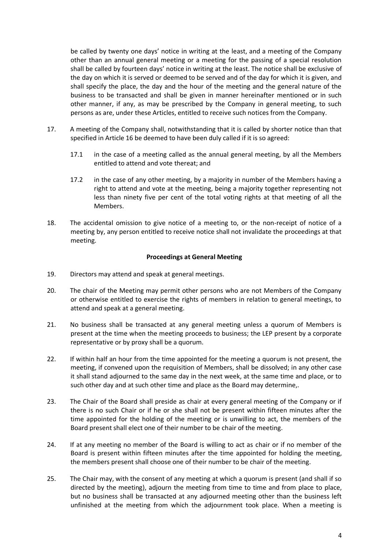be called by twenty one days' notice in writing at the least, and a meeting of the Company other than an annual general meeting or a meeting for the passing of a special resolution shall be called by fourteen days' notice in writing at the least. The notice shall be exclusive of the day on which it is served or deemed to be served and of the day for which it is given, and shall specify the place, the day and the hour of the meeting and the general nature of the business to be transacted and shall be given in manner hereinafter mentioned or in such other manner, if any, as may be prescribed by the Company in general meeting, to such persons as are, under these Articles, entitled to receive such notices from the Company.

- 17. A meeting of the Company shall, notwithstanding that it is called by shorter notice than that specified in Article 16 be deemed to have been duly called if it is so agreed:
	- 17.1 in the case of a meeting called as the annual general meeting, by all the Members entitled to attend and vote thereat; and
	- 17.2 in the case of any other meeting, by a majority in number of the Members having a right to attend and vote at the meeting, being a majority together representing not less than ninety five per cent of the total voting rights at that meeting of all the Members.
- 18. The accidental omission to give notice of a meeting to, or the non-receipt of notice of a meeting by, any person entitled to receive notice shall not invalidate the proceedings at that meeting.

#### **Proceedings at General Meeting**

- 19. Directors may attend and speak at general meetings.
- 20. The chair of the Meeting may permit other persons who are not Members of the Company or otherwise entitled to exercise the rights of members in relation to general meetings, to attend and speak at a general meeting.
- 21. No business shall be transacted at any general meeting unless a quorum of Members is present at the time when the meeting proceeds to business; the LEP present by a corporate representative or by proxy shall be a quorum.
- 22. If within half an hour from the time appointed for the meeting a quorum is not present, the meeting, if convened upon the requisition of Members, shall be dissolved; in any other case it shall stand adjourned to the same day in the next week, at the same time and place, or to such other day and at such other time and place as the Board may determine,.
- 23. The Chair of the Board shall preside as chair at every general meeting of the Company or if there is no such Chair or if he or she shall not be present within fifteen minutes after the time appointed for the holding of the meeting or is unwilling to act, the members of the Board present shall elect one of their number to be chair of the meeting.
- 24. If at any meeting no member of the Board is willing to act as chair or if no member of the Board is present within fifteen minutes after the time appointed for holding the meeting, the members present shall choose one of their number to be chair of the meeting.
- 25. The Chair may, with the consent of any meeting at which a quorum is present (and shall if so directed by the meeting), adjourn the meeting from time to time and from place to place, but no business shall be transacted at any adjourned meeting other than the business left unfinished at the meeting from which the adjournment took place. When a meeting is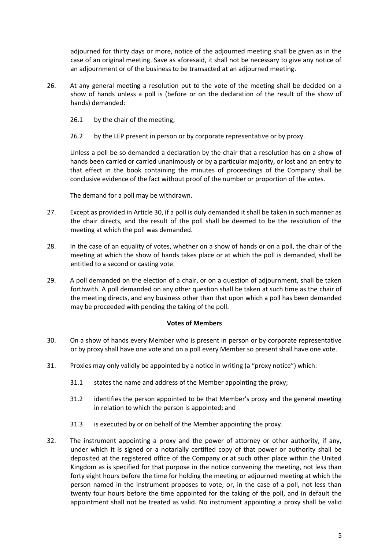adjourned for thirty days or more, notice of the adjourned meeting shall be given as in the case of an original meeting. Save as aforesaid, it shall not be necessary to give any notice of an adjournment or of the business to be transacted at an adjourned meeting.

- 26. At any general meeting a resolution put to the vote of the meeting shall be decided on a show of hands unless a poll is (before or on the declaration of the result of the show of hands) demanded:
	- 26.1 by the chair of the meeting;
	- 26.2 by the LEP present in person or by corporate representative or by proxy.

Unless a poll be so demanded a declaration by the chair that a resolution has on a show of hands been carried or carried unanimously or by a particular majority, or lost and an entry to that effect in the book containing the minutes of proceedings of the Company shall be conclusive evidence of the fact without proof of the number or proportion of the votes.

The demand for a poll may be withdrawn.

- 27. Except as provided in Article 30, if a poll is duly demanded it shall be taken in such manner as the chair directs, and the result of the poll shall be deemed to be the resolution of the meeting at which the poll was demanded.
- 28. In the case of an equality of votes, whether on a show of hands or on a poll, the chair of the meeting at which the show of hands takes place or at which the poll is demanded, shall be entitled to a second or casting vote.
- 29. A poll demanded on the election of a chair, or on a question of adjournment, shall be taken forthwith. A poll demanded on any other question shall be taken at such time as the chair of the meeting directs, and any business other than that upon which a poll has been demanded may be proceeded with pending the taking of the poll.

#### **Votes of Members**

- 30. On a show of hands every Member who is present in person or by corporate representative or by proxy shall have one vote and on a poll every Member so present shall have one vote.
- 31. Proxies may only validly be appointed by a notice in writing (a "proxy notice") which:
	- 31.1 states the name and address of the Member appointing the proxy;
	- 31.2 identifies the person appointed to be that Member's proxy and the general meeting in relation to which the person is appointed; and
	- 31.3 is executed by or on behalf of the Member appointing the proxy.
- 32. The instrument appointing a proxy and the power of attorney or other authority, if any, under which it is signed or a notarially certified copy of that power or authority shall be deposited at the registered office of the Company or at such other place within the United Kingdom as is specified for that purpose in the notice convening the meeting, not less than forty eight hours before the time for holding the meeting or adjourned meeting at which the person named in the instrument proposes to vote, or, in the case of a poll, not less than twenty four hours before the time appointed for the taking of the poll, and in default the appointment shall not be treated as valid. No instrument appointing a proxy shall be valid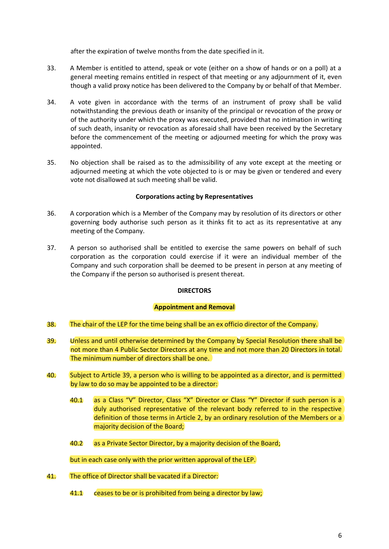after the expiration of twelve months from the date specified in it.

- 33. A Member is entitled to attend, speak or vote (either on a show of hands or on a poll) at a general meeting remains entitled in respect of that meeting or any adjournment of it, even though a valid proxy notice has been delivered to the Company by or behalf of that Member.
- 34. A vote given in accordance with the terms of an instrument of proxy shall be valid notwithstanding the previous death or insanity of the principal or revocation of the proxy or of the authority under which the proxy was executed, provided that no intimation in writing of such death, insanity or revocation as aforesaid shall have been received by the Secretary before the commencement of the meeting or adjourned meeting for which the proxy was appointed.
- 35. No objection shall be raised as to the admissibility of any vote except at the meeting or adjourned meeting at which the vote objected to is or may be given or tendered and every vote not disallowed at such meeting shall be valid.

## **Corporations acting by Representatives**

- 36. A corporation which is a Member of the Company may by resolution of its directors or other governing body authorise such person as it thinks fit to act as its representative at any meeting of the Company.
- 37. A person so authorised shall be entitled to exercise the same powers on behalf of such corporation as the corporation could exercise if it were an individual member of the Company and such corporation shall be deemed to be present in person at any meeting of the Company if the person so authorised is present thereat.

# **DIRECTORS**

#### **Appointment and Removal**

- 38. The chair of the LEP for the time being shall be an ex officio director of the Company.
- 39. Unless and until otherwise determined by the Company by Special Resolution there shall be not more than 4 Public Sector Directors at any time and not more than 20 Directors in total. The minimum number of directors shall be one.
- 40. Subject to Article 39, a person who is willing to be appointed as a director, and is permitted by law to do so may be appointed to be a director:
	- 40.1 as a Class "V" Director, Class "X" Director or Class "Y" Director if such person is a duly authorised representative of the relevant body referred to in the respective definition of those terms in Article 2, by an ordinary resolution of the Members or a majority decision of the Board;
	- 40.2 as a Private Sector Director, by a majority decision of the Board;

but in each case only with the prior written approval of the LEP.

- 41. The office of Director shall be vacated if a Director:
	- 41.1 ceases to be or is prohibited from being a director by law;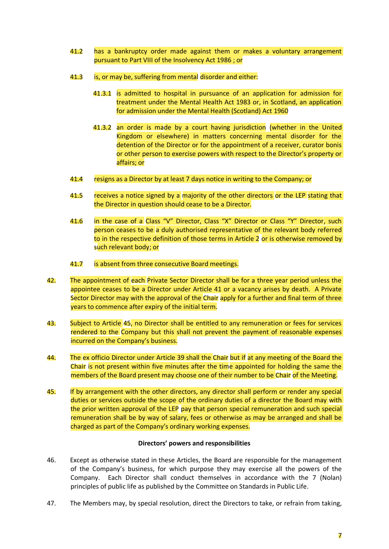- 41.2 has a bankruptcy order made against them or makes a voluntary arrangement pursuant to Part VIII of the Insolvency Act 1986 ; or
- 41.3 is, or may be, suffering from mental disorder and either:
	- 41.3.1 is admitted to hospital in pursuance of an application for admission for treatment under the Mental Health Act 1983 or, in Scotland, an application for admission under the Mental Health (Scotland) Act 1960
	- 41.3.2 an order is made by a court having jurisdiction (whether in the United Kingdom or elsewhere) in matters concerning mental disorder for the detention of the Director or for the appointment of a receiver, curator bonis or other person to exercise powers with respect to the Director's property or affairs; or
- 41.4 resigns as a Director by at least 7 days notice in writing to the Company; or
- 41.5 receives a notice signed by a majority of the other directors or the LEP stating that the Director in question should cease to be a Director.
- 41.6 in the case of a Class "V" Director, Class "X" Director or Class "Y" Director, such person ceases to be a duly authorised representative of the relevant body referred to in the respective definition of those terms in Article 2 or is otherwise removed by such relevant body; or
- 41.7 is absent from three consecutive Board meetings.
- 42. The appointment of each Private Sector Director shall be for a three year period unless the appointee ceases to be a Director under Article 41 or a vacancy arises by death. A Private Sector Director may with the approval of the Chair apply for a further and final term of three years to commence after expiry of the initial term.
- 43. Subject to Article 45, no Director shall be entitled to any remuneration or fees for services rendered to the Company but this shall not prevent the payment of reasonable expenses incurred on the Company's business.
- 44. The ex officio Director under Article 39 shall the Chair but if at any meeting of the Board the Chair is not present within five minutes after the time appointed for holding the same the members of the Board present may choose one of their number to be Chair of the Meeting.
- 45. If by arrangement with the other directors, any director shall perform or render any special duties or services outside the scope of the ordinary duties of a director the Board may with the prior written approval of the LEP pay that person special remuneration and such special remuneration shall be by way of salary, fees or otherwise as may be arranged and shall be charged as part of the Company's ordinary working expenses.

#### **Directors' powers and responsibilities**

- 46. Except as otherwise stated in these Articles, the Board are responsible for the management of the Company's business, for which purpose they may exercise all the powers of the Company. Each Director shall conduct themselves in accordance with the 7 (Nolan) principles of public life as published by the Committee on Standards in Public Life.
- 47. The Members may, by special resolution, direct the Directors to take, or refrain from taking,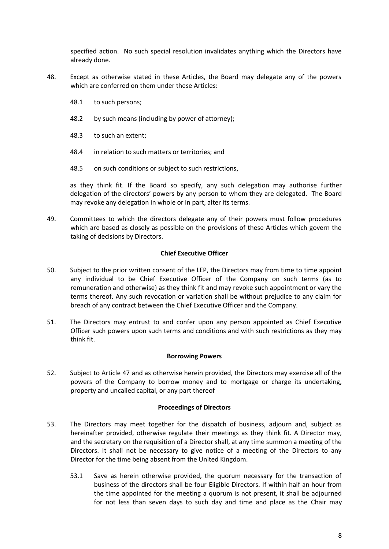specified action. No such special resolution invalidates anything which the Directors have already done.

- 48. Except as otherwise stated in these Articles, the Board may delegate any of the powers which are conferred on them under these Articles:
	- 48.1 to such persons;
	- 48.2 by such means (including by power of attorney);
	- 48.3 to such an extent;
	- 48.4 in relation to such matters or territories; and
	- 48.5 on such conditions or subject to such restrictions,

as they think fit. If the Board so specify, any such delegation may authorise further delegation of the directors' powers by any person to whom they are delegated. The Board may revoke any delegation in whole or in part, alter its terms.

49. Committees to which the directors delegate any of their powers must follow procedures which are based as closely as possible on the provisions of these Articles which govern the taking of decisions by Directors.

#### **Chief Executive Officer**

- 50. Subject to the prior written consent of the LEP, the Directors may from time to time appoint any individual to be Chief Executive Officer of the Company on such terms (as to remuneration and otherwise) as they think fit and may revoke such appointment or vary the terms thereof. Any such revocation or variation shall be without prejudice to any claim for breach of any contract between the Chief Executive Officer and the Company.
- 51. The Directors may entrust to and confer upon any person appointed as Chief Executive Officer such powers upon such terms and conditions and with such restrictions as they may think fit.

#### **Borrowing Powers**

52. Subject to Article 47 and as otherwise herein provided, the Directors may exercise all of the powers of the Company to borrow money and to mortgage or charge its undertaking, property and uncalled capital, or any part thereof

#### **Proceedings of Directors**

- 53. The Directors may meet together for the dispatch of business, adjourn and, subject as hereinafter provided, otherwise regulate their meetings as they think fit. A Director may, and the secretary on the requisition of a Director shall, at any time summon a meeting of the Directors. It shall not be necessary to give notice of a meeting of the Directors to any Director for the time being absent from the United Kingdom.
	- 53.1 Save as herein otherwise provided, the quorum necessary for the transaction of business of the directors shall be four Eligible Directors. If within half an hour from the time appointed for the meeting a quorum is not present, it shall be adjourned for not less than seven days to such day and time and place as the Chair may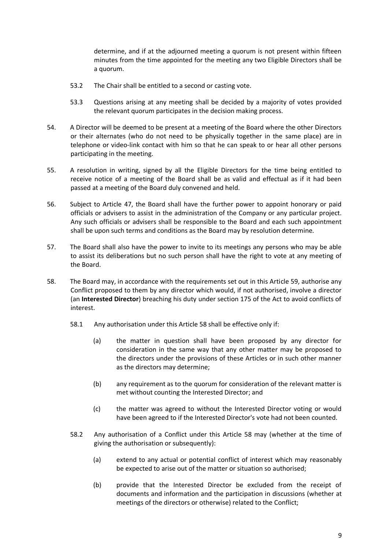determine, and if at the adjourned meeting a quorum is not present within fifteen minutes from the time appointed for the meeting any two Eligible Directors shall be a quorum.

- 53.2 The Chair shall be entitled to a second or casting vote.
- 53.3 Questions arising at any meeting shall be decided by a majority of votes provided the relevant quorum participates in the decision making process.
- 54. A Director will be deemed to be present at a meeting of the Board where the other Directors or their alternates (who do not need to be physically together in the same place) are in telephone or video-link contact with him so that he can speak to or hear all other persons participating in the meeting.
- 55. A resolution in writing, signed by all the Eligible Directors for the time being entitled to receive notice of a meeting of the Board shall be as valid and effectual as if it had been passed at a meeting of the Board duly convened and held.
- 56. Subject to Article 47, the Board shall have the further power to appoint honorary or paid officials or advisers to assist in the administration of the Company or any particular project. Any such officials or advisers shall be responsible to the Board and each such appointment shall be upon such terms and conditions as the Board may by resolution determine.
- 57. The Board shall also have the power to invite to its meetings any persons who may be able to assist its deliberations but no such person shall have the right to vote at any meeting of the Board.
- 58. The Board may, in accordance with the requirements set out in this Article 59, authorise any Conflict proposed to them by any director which would, if not authorised, involve a director (an **Interested Director**) breaching his duty under section 175 of the Act to avoid conflicts of interest.
	- 58.1 Any authorisation under this Article 58 shall be effective only if:
		- (a) the matter in question shall have been proposed by any director for consideration in the same way that any other matter may be proposed to the directors under the provisions of these Articles or in such other manner as the directors may determine;
		- (b) any requirement as to the quorum for consideration of the relevant matter is met without counting the Interested Director; and
		- (c) the matter was agreed to without the Interested Director voting or would have been agreed to if the Interested Director's vote had not been counted.
	- 58.2 Any authorisation of a Conflict under this Article 58 may (whether at the time of giving the authorisation or subsequently):
		- (a) extend to any actual or potential conflict of interest which may reasonably be expected to arise out of the matter or situation so authorised;
		- (b) provide that the Interested Director be excluded from the receipt of documents and information and the participation in discussions (whether at meetings of the directors or otherwise) related to the Conflict;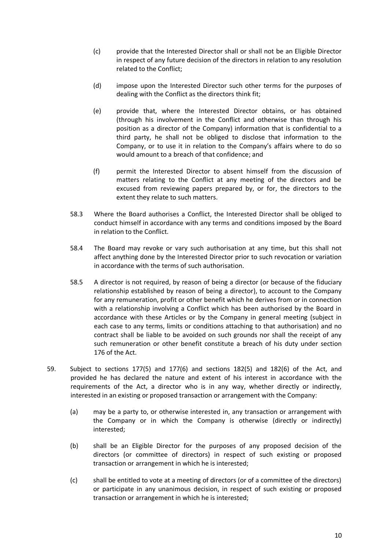- (c) provide that the Interested Director shall or shall not be an Eligible Director in respect of any future decision of the directors in relation to any resolution related to the Conflict;
- (d) impose upon the Interested Director such other terms for the purposes of dealing with the Conflict as the directors think fit;
- (e) provide that, where the Interested Director obtains, or has obtained (through his involvement in the Conflict and otherwise than through his position as a director of the Company) information that is confidential to a third party, he shall not be obliged to disclose that information to the Company, or to use it in relation to the Company's affairs where to do so would amount to a breach of that confidence; and
- (f) permit the Interested Director to absent himself from the discussion of matters relating to the Conflict at any meeting of the directors and be excused from reviewing papers prepared by, or for, the directors to the extent they relate to such matters.
- 58.3 Where the Board authorises a Conflict, the Interested Director shall be obliged to conduct himself in accordance with any terms and conditions imposed by the Board in relation to the Conflict.
- 58.4 The Board may revoke or vary such authorisation at any time, but this shall not affect anything done by the Interested Director prior to such revocation or variation in accordance with the terms of such authorisation.
- 58.5 A director is not required, by reason of being a director (or because of the fiduciary relationship established by reason of being a director), to account to the Company for any remuneration, profit or other benefit which he derives from or in connection with a relationship involving a Conflict which has been authorised by the Board in accordance with these Articles or by the Company in general meeting (subject in each case to any terms, limits or conditions attaching to that authorisation) and no contract shall be liable to be avoided on such grounds nor shall the receipt of any such remuneration or other benefit constitute a breach of his duty under section 176 of the Act.
- 59. Subject to sections 177(5) and 177(6) and sections 182(5) and 182(6) of the Act, and provided he has declared the nature and extent of his interest in accordance with the requirements of the Act, a director who is in any way, whether directly or indirectly, interested in an existing or proposed transaction or arrangement with the Company:
	- (a) may be a party to, or otherwise interested in, any transaction or arrangement with the Company or in which the Company is otherwise (directly or indirectly) interested;
	- (b) shall be an Eligible Director for the purposes of any proposed decision of the directors (or committee of directors) in respect of such existing or proposed transaction or arrangement in which he is interested;
	- (c) shall be entitled to vote at a meeting of directors (or of a committee of the directors) or participate in any unanimous decision, in respect of such existing or proposed transaction or arrangement in which he is interested;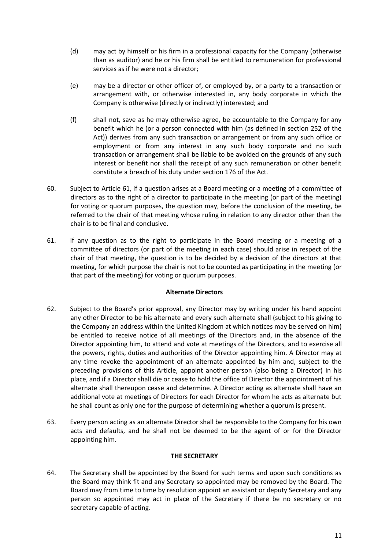- (d) may act by himself or his firm in a professional capacity for the Company (otherwise than as auditor) and he or his firm shall be entitled to remuneration for professional services as if he were not a director;
- (e) may be a director or other officer of, or employed by, or a party to a transaction or arrangement with, or otherwise interested in, any body corporate in which the Company is otherwise (directly or indirectly) interested; and
- (f) shall not, save as he may otherwise agree, be accountable to the Company for any benefit which he (or a person connected with him (as defined in section 252 of the Act)) derives from any such transaction or arrangement or from any such office or employment or from any interest in any such body corporate and no such transaction or arrangement shall be liable to be avoided on the grounds of any such interest or benefit nor shall the receipt of any such remuneration or other benefit constitute a breach of his duty under section 176 of the Act.
- 60. Subject to Article 61, if a question arises at a Board meeting or a meeting of a committee of directors as to the right of a director to participate in the meeting (or part of the meeting) for voting or quorum purposes, the question may, before the conclusion of the meeting, be referred to the chair of that meeting whose ruling in relation to any director other than the chair is to be final and conclusive.
- 61. If any question as to the right to participate in the Board meeting or a meeting of a committee of directors (or part of the meeting in each case) should arise in respect of the chair of that meeting, the question is to be decided by a decision of the directors at that meeting, for which purpose the chair is not to be counted as participating in the meeting (or that part of the meeting) for voting or quorum purposes.

#### **Alternate Directors**

- 62. Subject to the Board's prior approval, any Director may by writing under his hand appoint any other Director to be his alternate and every such alternate shall (subject to his giving to the Company an address within the United Kingdom at which notices may be served on him) be entitled to receive notice of all meetings of the Directors and, in the absence of the Director appointing him, to attend and vote at meetings of the Directors, and to exercise all the powers, rights, duties and authorities of the Director appointing him. A Director may at any time revoke the appointment of an alternate appointed by him and, subject to the preceding provisions of this Article, appoint another person (also being a Director) in his place, and if a Director shall die or cease to hold the office of Director the appointment of his alternate shall thereupon cease and determine. A Director acting as alternate shall have an additional vote at meetings of Directors for each Director for whom he acts as alternate but he shall count as only one for the purpose of determining whether a quorum is present.
- 63. Every person acting as an alternate Director shall be responsible to the Company for his own acts and defaults, and he shall not be deemed to be the agent of or for the Director appointing him.

#### **THE SECRETARY**

64. The Secretary shall be appointed by the Board for such terms and upon such conditions as the Board may think fit and any Secretary so appointed may be removed by the Board. The Board may from time to time by resolution appoint an assistant or deputy Secretary and any person so appointed may act in place of the Secretary if there be no secretary or no secretary capable of acting.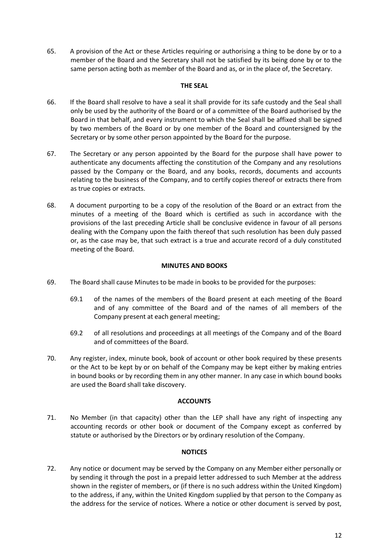65. A provision of the Act or these Articles requiring or authorising a thing to be done by or to a member of the Board and the Secretary shall not be satisfied by its being done by or to the same person acting both as member of the Board and as, or in the place of, the Secretary.

#### **THE SEAL**

- 66. If the Board shall resolve to have a seal it shall provide for its safe custody and the Seal shall only be used by the authority of the Board or of a committee of the Board authorised by the Board in that behalf, and every instrument to which the Seal shall be affixed shall be signed by two members of the Board or by one member of the Board and countersigned by the Secretary or by some other person appointed by the Board for the purpose.
- 67. The Secretary or any person appointed by the Board for the purpose shall have power to authenticate any documents affecting the constitution of the Company and any resolutions passed by the Company or the Board, and any books, records, documents and accounts relating to the business of the Company, and to certify copies thereof or extracts there from as true copies or extracts.
- 68. A document purporting to be a copy of the resolution of the Board or an extract from the minutes of a meeting of the Board which is certified as such in accordance with the provisions of the last preceding Article shall be conclusive evidence in favour of all persons dealing with the Company upon the faith thereof that such resolution has been duly passed or, as the case may be, that such extract is a true and accurate record of a duly constituted meeting of the Board.

## **MINUTES AND BOOKS**

- 69. The Board shall cause Minutes to be made in books to be provided for the purposes:
	- 69.1 of the names of the members of the Board present at each meeting of the Board and of any committee of the Board and of the names of all members of the Company present at each general meeting;
	- 69.2 of all resolutions and proceedings at all meetings of the Company and of the Board and of committees of the Board.
- 70. Any register, index, minute book, book of account or other book required by these presents or the Act to be kept by or on behalf of the Company may be kept either by making entries in bound books or by recording them in any other manner. In any case in which bound books are used the Board shall take discovery.

#### **ACCOUNTS**

71. No Member (in that capacity) other than the LEP shall have any right of inspecting any accounting records or other book or document of the Company except as conferred by statute or authorised by the Directors or by ordinary resolution of the Company.

# **NOTICES**

72. Any notice or document may be served by the Company on any Member either personally or by sending it through the post in a prepaid letter addressed to such Member at the address shown in the register of members, or (if there is no such address within the United Kingdom) to the address, if any, within the United Kingdom supplied by that person to the Company as the address for the service of notices. Where a notice or other document is served by post,